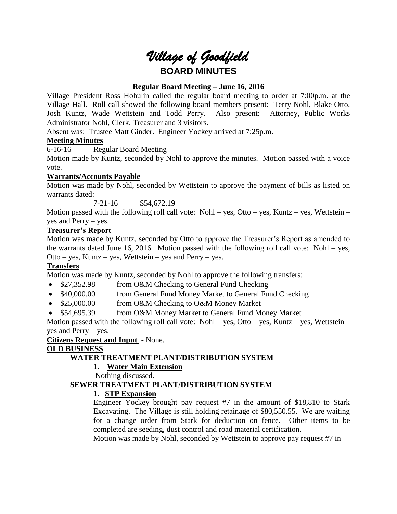# *Village of Goodfield* **BOARD MINUTES**

#### **Regular Board Meeting – June 16, 2016**

Village President Ross Hohulin called the regular board meeting to order at 7:00p.m. at the Village Hall. Roll call showed the following board members present: Terry Nohl, Blake Otto, Josh Kuntz, Wade Wettstein and Todd Perry. Also present: Attorney, Public Works Administrator Nohl, Clerk, Treasurer and 3 visitors.

Absent was: Trustee Matt Ginder. Engineer Yockey arrived at 7:25p.m.

#### **Meeting Minutes**

6-16-16 Regular Board Meeting

Motion made by Kuntz, seconded by Nohl to approve the minutes. Motion passed with a voice vote.

#### **Warrants/Accounts Payable**

Motion was made by Nohl, seconded by Wettstein to approve the payment of bills as listed on warrants dated:

7-21-16 \$54,672.19

Motion passed with the following roll call vote: Nohl – yes, Otto – yes, Kuntz – yes, Wettstein – yes and Perry – yes.

#### **Treasurer's Report**

Motion was made by Kuntz, seconded by Otto to approve the Treasurer's Report as amended to the warrants dated June 16, 2016. Motion passed with the following roll call vote: Nohl – yes, Otto – yes, Kuntz – yes, Wettstein – yes and Perry – yes.

#### **Transfers**

Motion was made by Kuntz, seconded by Nohl to approve the following transfers:

- \$27,352.98 from O&M Checking to General Fund Checking
- \$40,000.00 from General Fund Money Market to General Fund Checking
- \$25,000.00 from O&M Checking to O&M Money Market
- \$54,695.39 from O&M Money Market to General Fund Money Market

Motion passed with the following roll call vote: Nohl – yes, Otto – yes, Kuntz – yes, Wettstein – yes and Perry – yes.

**Citizens Request and Input** - None.

#### **OLD BUSINESS**

#### **WATER TREATMENT PLANT/DISTRIBUTION SYSTEM**

#### **1. Water Main Extension**

Nothing discussed.

#### **SEWER TREATMENT PLANT/DISTRIBUTION SYSTEM**

#### **1. STP Expansion**

Engineer Yockey brought pay request #7 in the amount of \$18,810 to Stark Excavating. The Village is still holding retainage of \$80,550.55. We are waiting for a change order from Stark for deduction on fence. Other items to be completed are seeding, dust control and road material certification.

Motion was made by Nohl, seconded by Wettstein to approve pay request #7 in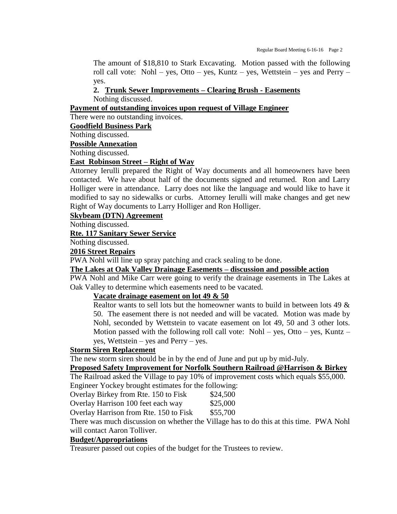The amount of \$18,810 to Stark Excavating. Motion passed with the following roll call vote: Nohl – yes, Otto – yes, Kuntz – yes, Wettstein – yes and Perry – yes.

#### **2. Trunk Sewer Improvements – Clearing Brush - Easements**

Nothing discussed.

#### **Payment of outstanding invoices upon request of Village Engineer**

There were no outstanding invoices.

#### **Goodfield Business Park**

Nothing discussed.

#### **Possible Annexation**

Nothing discussed.

#### **East Robinson Street – Right of Way**

Attorney Ierulli prepared the Right of Way documents and all homeowners have been contacted. We have about half of the documents signed and returned. Ron and Larry Holliger were in attendance. Larry does not like the language and would like to have it modified to say no sidewalks or curbs. Attorney Ierulli will make changes and get new Right of Way documents to Larry Holliger and Ron Holliger.

#### **Skybeam (DTN) Agreement**

Nothing discussed.

#### **Rte. 117 Sanitary Sewer Service**

Nothing discussed.

#### **2016 Street Repairs**

PWA Nohl will line up spray patching and crack sealing to be done.

#### **The Lakes at Oak Valley Drainage Easements – discussion and possible action**

PWA Nohl and Mike Carr were going to verify the drainage easements in The Lakes at Oak Valley to determine which easements need to be vacated.

#### **Vacate drainage easement on lot 49 & 50**

Realtor wants to sell lots but the homeowner wants to build in between lots 49 & 50. The easement there is not needed and will be vacated. Motion was made by Nohl, seconded by Wettstein to vacate easement on lot 49, 50 and 3 other lots. Motion passed with the following roll call vote: Nohl – yes, Otto – yes, Kuntz – yes, Wettstein – yes and Perry – yes.

#### **Storm Siren Replacement**

The new storm siren should be in by the end of June and put up by mid-July.

#### **Proposed Safety Improvement for Norfolk Southern Railroad @Harrison & Birkey**

The Railroad asked the Village to pay 10% of improvement costs which equals \$55,000. Engineer Yockey brought estimates for the following:

| Overlay Birkey from Rte. 150 to Fisk | \$24,500 |
|--------------------------------------|----------|
|--------------------------------------|----------|

Overlay Harrison 100 feet each way \$25,000

Overlay Harrison from Rte. 150 to Fisk \$55,700

There was much discussion on whether the Village has to do this at this time. PWA Nohl will contact Aaron Tolliver.

#### **Budget/Appropriations**

Treasurer passed out copies of the budget for the Trustees to review.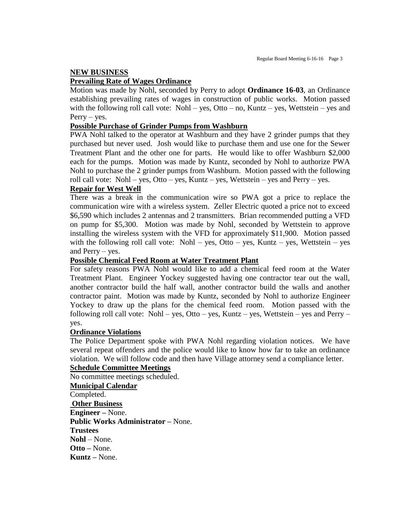## **NEW BUSINESS**

#### **Prevailing Rate of Wages Ordinance**

Motion was made by Nohl, seconded by Perry to adopt **Ordinance 16-03**, an Ordinance establishing prevailing rates of wages in construction of public works. Motion passed with the following roll call vote: Nohl – yes, Otto – no, Kuntz – yes, Wettstein – yes and  $Perry - yes.$ 

#### **Possible Purchase of Grinder Pumps from Washburn**

PWA Nohl talked to the operator at Washburn and they have 2 grinder pumps that they purchased but never used. Josh would like to purchase them and use one for the Sewer Treatment Plant and the other one for parts. He would like to offer Washburn \$2,000 each for the pumps. Motion was made by Kuntz, seconded by Nohl to authorize PWA Nohl to purchase the 2 grinder pumps from Washburn. Motion passed with the following roll call vote: Nohl – yes, Otto – yes, Kuntz – yes, Wettstein – yes and Perry – yes.

#### **Repair for West Well**

There was a break in the communication wire so PWA got a price to replace the communication wire with a wireless system. Zeller Electric quoted a price not to exceed \$6,590 which includes 2 antennas and 2 transmitters. Brian recommended putting a VFD on pump for \$5,300. Motion was made by Nohl, seconded by Wettstein to approve installing the wireless system with the VFD for approximately \$11,900. Motion passed with the following roll call vote: Nohl – yes, Otto – yes, Kuntz – yes, Wettstein – yes and Perry – yes.

#### **Possible Chemical Feed Room at Water Treatment Plant**

For safety reasons PWA Nohl would like to add a chemical feed room at the Water Treatment Plant. Engineer Yockey suggested having one contractor tear out the wall, another contractor build the half wall, another contractor build the walls and another contractor paint. Motion was made by Kuntz, seconded by Nohl to authorize Engineer Yockey to draw up the plans for the chemical feed room. Motion passed with the following roll call vote: Nohl – yes, Otto – yes, Kuntz – yes, Wettstein – yes and Perry – yes.

#### **Ordinance Violations**

The Police Department spoke with PWA Nohl regarding violation notices. We have several repeat offenders and the police would like to know how far to take an ordinance violation. We will follow code and then have Village attorney send a compliance letter.

#### **Schedule Committee Meetings**

No committee meetings scheduled.

**Municipal Calendar** Completed. **Other Business Engineer –** None. **Public Works Administrator –** None. **Trustees Nohl** – None. **Otto –** None. **Kuntz –** None.